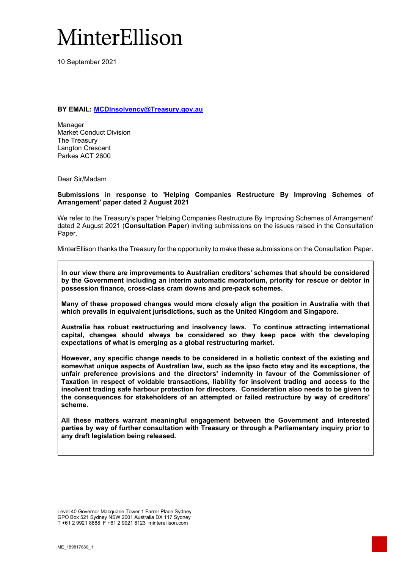# MinterEllison

10 September 2021

**BY EMAIL: MCDInsolvency@Treasury.gov.au** 

Manager Market Conduct Division The Treasury Langton Crescent Parkes ACT 2600

Dear Sir/Madam

## **Submissions in response to 'Helping Companies Restructure By Improving Schemes of Arrangement' paper dated 2 August 2021**

We refer to the Treasury's paper 'Helping Companies Restructure By Improving Schemes of Arrangement' dated 2 August 2021 (**Consultation Paper**) inviting submissions on the issues raised in the Consultation Paper.

MinterEllison thanks the Treasury for the opportunity to make these submissions on the Consultation Paper.

**In our view there are improvements to Australian creditors' schemes that should be considered by the Government including an interim automatic moratorium, priority for rescue or debtor in possession finance, cross-class cram downs and pre-pack schemes.** 

**Many of these proposed changes would more closely align the position in Australia with that which prevails in equivalent jurisdictions, such as the United Kingdom and Singapore.** 

**Australia has robust restructuring and insolvency laws. To continue attracting international capital, changes should always be considered so they keep pace with the developing expectations of what is emerging as a global restructuring market.** 

**However, any specific change needs to be considered in a holistic context of the existing and somewhat unique aspects of Australian law, such as the ipso facto stay and its exceptions, the unfair preference provisions and the directors' indemnity in favour of the Commissioner of Taxation in respect of voidable transactions, liability for insolvent trading and access to the insolvent trading safe harbour protection for directors. Consideration also needs to be given to the consequences for stakeholders of an attempted or failed restructure by way of creditors' scheme.** 

**All these matters warrant meaningful engagement between the Government and interested parties by way of further consultation with Treasury or through a Parliamentary inquiry prior to any draft legislation being released.** 

Level 40 Governor Macquarie Tower 1 Farrer Place Sydney GPO Box 521 Sydney NSW 2001 Australia DX 117 Sydney T +61 2 9921 8888 F +61 2 9921 8123 minterellison.com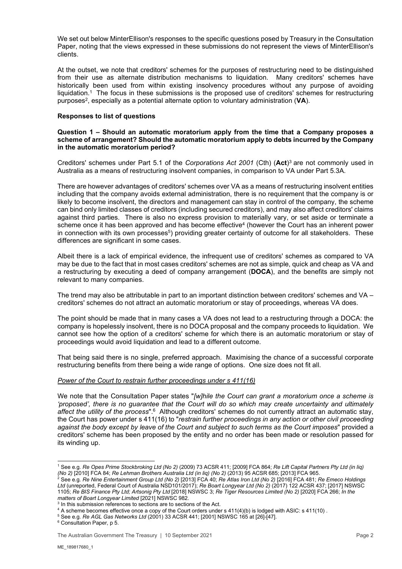We set out below MinterEllison's responses to the specific questions posed by Treasury in the Consultation Paper, noting that the views expressed in these submissions do not represent the views of MinterEllison's clients.

At the outset, we note that creditors' schemes for the purposes of restructuring need to be distinguished from their use as alternate distribution mechanisms to liquidation. Many creditors' schemes have historically been used from within existing insolvency procedures without any purpose of avoiding liquidation.1 The focus in these submissions is the proposed use of creditors' schemes for restructuring purposes2, especially as a potential alternate option to voluntary administration (**VA**).

### **Responses to list of questions**

## **Question 1 – Should an automatic moratorium apply from the time that a Company proposes a scheme of arrangement? Should the automatic moratorium apply to debts incurred by the Company in the automatic moratorium period?**

Creditors' schemes under Part 5.1 of the *Corporations Act 2001* (Cth) (**Act**)3 are not commonly used in Australia as a means of restructuring insolvent companies, in comparison to VA under Part 5.3A.

There are however advantages of creditors' schemes over VA as a means of restructuring insolvent entities including that the company avoids external administration, there is no requirement that the company is or likely to become insolvent, the directors and management can stay in control of the company, the scheme can bind only limited classes of creditors (including secured creditors), and may also affect creditors' claims against third parties. There is also no express provision to materially vary, or set aside or terminate a scheme once it has been approved and has become effective<sup>4</sup> (however the Court has an inherent power in connection with its own processes<sup>5</sup>) providing greater certainty of outcome for all stakeholders. These differences are significant in some cases.

Albeit there is a lack of empirical evidence, the infrequent use of creditors' schemes as compared to VA may be due to the fact that in most cases creditors' schemes are not as simple, quick and cheap as VA and a restructuring by executing a deed of company arrangement (**DOCA**), and the benefits are simply not relevant to many companies.

The trend may also be attributable in part to an important distinction between creditors' schemes and VA – creditors' schemes do not attract an automatic moratorium or stay of proceedings, whereas VA does.

The point should be made that in many cases a VA does not lead to a restructuring through a DOCA: the company is hopelessly insolvent, there is no DOCA proposal and the company proceeds to liquidation. We cannot see how the option of a creditors' scheme for which there is an automatic moratorium or stay of proceedings would avoid liquidation and lead to a different outcome.

That being said there is no single, preferred approach. Maximising the chance of a successful corporate restructuring benefits from there being a wide range of options. One size does not fit all.

#### *Power of the Court to restrain further proceedings under s 411(16)*

We note that the Consultation Paper states "*[w]hile the Court can grant a moratorium once a scheme is 'proposed', there is no guarantee that the Court will do so which may create uncertainty and ultimately affect the utility of the process*".6 Although creditors' schemes do not currently attract an automatic stay, the Court has power under s 411(16) to "*restrain further proceedings in any action or other civil proceeding against the body except by leave of the Court and subject to such terms as the Court imposes*" provided a creditors' scheme has been proposed by the entity and no order has been made or resolution passed for its winding up.

<sup>1</sup> See e.g. *Re Opes Prime Stockbroking Ltd (No 2)* (2009) 73 ACSR 411; [2009] FCA 864; *Re Lift Capital Partners Pty Ltd (in liq) (No 2)* [2010] FCA 84; *Re Lehman Brothers Australia Ltd (in liq) (No 2)* (2013) 95 ACSR 685; [2013] FCA 965. 2

See e.g. *Re Nine Entertainment Group Ltd (No 2)* [2013] FCA 40; *Re Atlas Iron Ltd (No 2)* [2016] FCA 481; *Re Emeco Holdings Ltd* (unreported, Federal Court of Australia NSD101/2017); *Re Boart Longyear Ltd (No 2)* (2017) 122 ACSR 437; [2017] NSWSC 1105; *Re BIS Finance Pty Ltd; Artsonig Pty Ltd* [2018] NSWSC 3; *Re Tiger Resources Limited (No 2)* [2020] FCA 266; *In the*  matters of Boart Longyear Limited [2021] NSWSC 982.

 $3$  In this submission references to sections are to sections of the Act.

<sup>&</sup>lt;sup>4</sup> A scheme becomes effective once a copy of the Court orders under s 411(4)(b) is lodged with ASIC: s 411(10).

<sup>&</sup>lt;sup>5</sup> See e.g. *Re AGL Gas Networks Ltd* (2001) 33 ACSR 441; [2001] NSWSC 165 at [26]-[47].

<sup>&</sup>lt;sup>6</sup> Consultation Paper, p 5.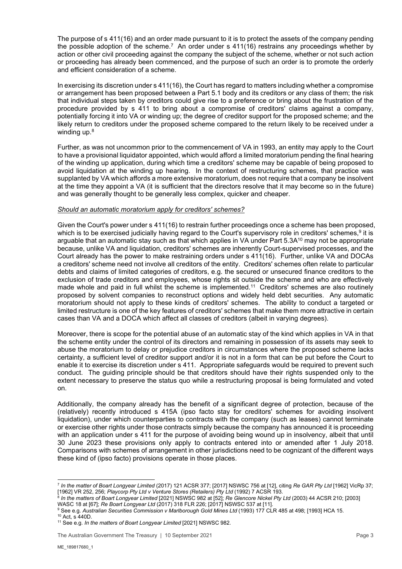The purpose of s 411(16) and an order made pursuant to it is to protect the assets of the company pending the possible adoption of the scheme.<sup>7</sup> An order under s 411(16) restrains any proceedings whether by action or other civil proceeding against the company the subject of the scheme, whether or not such action or proceeding has already been commenced, and the purpose of such an order is to promote the orderly and efficient consideration of a scheme.

In exercising its discretion under s 411(16), the Court has regard to matters including whether a compromise or arrangement has been proposed between a Part 5.1 body and its creditors or any class of them; the risk that individual steps taken by creditors could give rise to a preference or bring about the frustration of the procedure provided by s 411 to bring about a compromise of creditors' claims against a company, potentially forcing it into VA or winding up; the degree of creditor support for the proposed scheme; and the likely return to creditors under the proposed scheme compared to the return likely to be received under a winding up.<sup>8</sup>

Further, as was not uncommon prior to the commencement of VA in 1993, an entity may apply to the Court to have a provisional liquidator appointed, which would afford a limited moratorium pending the final hearing of the winding up application, during which time a creditors' scheme may be capable of being proposed to avoid liquidation at the winding up hearing. In the context of restructuring schemes, that practice was supplanted by VA which affords a more extensive moratorium, does not require that a company be insolvent at the time they appoint a VA (it is sufficient that the directors resolve that it may become so in the future) and was generally thought to be generally less complex, quicker and cheaper.

## *Should an automatic moratorium apply for creditors' schemes?*

Given the Court's power under s 411(16) to restrain further proceedings once a scheme has been proposed, which is to be exercised judicially having regard to the Court's supervisory role in creditors' schemes,<sup>9</sup> it is arguable that an automatic stay such as that which applies in VA under Part 5.3A<sup>10</sup> may not be appropriate because, unlike VA and liquidation, creditors' schemes are inherently Court-supervised processes, and the Court already has the power to make restraining orders under s 411(16). Further, unlike VA and DOCAs a creditors' scheme need not involve all creditors of the entity. Creditors' schemes often relate to particular debts and claims of limited categories of creditors, e.g. the secured or unsecured finance creditors to the exclusion of trade creditors and employees, whose rights sit outside the scheme and who are effectively made whole and paid in full whilst the scheme is implemented.11 Creditors' schemes are also routinely proposed by solvent companies to reconstruct options and widely held debt securities. Any automatic moratorium should not apply to these kinds of creditors' schemes. The ability to conduct a targeted or limited restructure is one of the key features of creditors' schemes that make them more attractive in certain cases than VA and a DOCA which affect all classes of creditors (albeit in varying degrees).

Moreover, there is scope for the potential abuse of an automatic stay of the kind which applies in VA in that the scheme entity under the control of its directors and remaining in possession of its assets may seek to abuse the moratorium to delay or prejudice creditors in circumstances where the proposed scheme lacks certainty, a sufficient level of creditor support and/or it is not in a form that can be put before the Court to enable it to exercise its discretion under s 411. Appropriate safeguards would be required to prevent such conduct. The guiding principle should be that creditors should have their rights suspended only to the extent necessary to preserve the status quo while a restructuring proposal is being formulated and voted on.

Additionally, the company already has the benefit of a significant degree of protection, because of the (relatively) recently introduced s 415A (ipso facto stay for creditors' schemes for avoiding insolvent liquidation), under which counterparties to contracts with the company (such as leases) cannot terminate or exercise other rights under those contracts simply because the company has announced it is proceeding with an application under s 411 for the purpose of avoiding being wound up in insolvency, albeit that until 30 June 2023 these provisions only apply to contracts entered into or amended after 1 July 2018. Comparisons with schemes of arrangement in other jurisdictions need to be cognizant of the different ways these kind of (ipso facto) provisions operate in those places.

<sup>7</sup> *In the matter of Boart Longyear Limited* (2017) 121 ACSR 377; [2017] NSWSC 756 at [12], citing *Re GAR Pty Ltd* [1962] VicRp 37; <u>וזושטן, וונטאן האנשטעט הייט הייט הייט (1962)</u> VR 252, 256; *Playcorp Pty Ltd v Venture Stores (Retailers) Pty Ltd*<br>In the matters of Boart Longyear Limited [2021] NSWSC 982 at [52]; *Re Glencore Nickel Pty Ltd (*2003) 44

WASC 18 at [67]; *Re Boart Longyear Ltd* (2017) 318 FLR 226; [2017] NSWSC 537 at [11]. 9

<sup>&</sup>lt;sup>9</sup> See e.g. *Australian Securities Commission v Marlborough Gold Mines Ltd* (1993) 177 CLR 485 at 498; [1993] HCA 15.<br><sup>10</sup> Act, s 440D.

<sup>11</sup> See e.g. *In the matters of Boart Longyear Limited* [2021] NSWSC 982.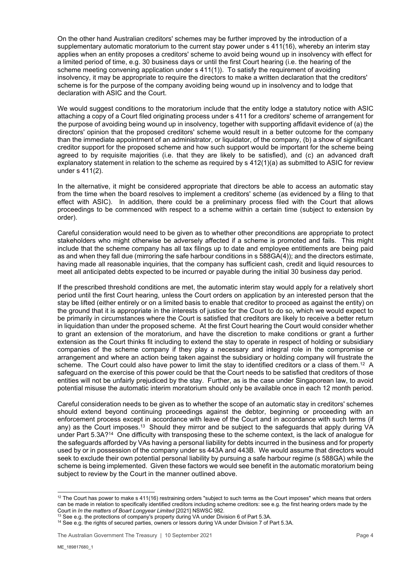On the other hand Australian creditors' schemes may be further improved by the introduction of a supplementary automatic moratorium to the current stay power under s 411(16), whereby an interim stay applies when an entity proposes a creditors' scheme to avoid being wound up in insolvency with effect for a limited period of time, e.g. 30 business days or until the first Court hearing (i.e. the hearing of the scheme meeting convening application under s 411(1)). To satisfy the requirement of avoiding insolvency, it may be appropriate to require the directors to make a written declaration that the creditors' scheme is for the purpose of the company avoiding being wound up in insolvency and to lodge that declaration with ASIC and the Court.

We would suggest conditions to the moratorium include that the entity lodge a statutory notice with ASIC attaching a copy of a Court filed originating process under s 411 for a creditors' scheme of arrangement for the purpose of avoiding being wound up in insolvency, together with supporting affidavit evidence of (a) the directors' opinion that the proposed creditors' scheme would result in a better outcome for the company than the immediate appointment of an administrator, or liquidator, of the company, (b) a show of significant creditor support for the proposed scheme and how such support would be important for the scheme being agreed to by requisite majorities (i.e. that they are likely to be satisfied), and (c) an advanced draft explanatory statement in relation to the scheme as required by s 412(1)(a) as submitted to ASIC for review under s 411(2).

In the alternative, it might be considered appropriate that directors be able to access an automatic stay from the time when the board resolves to implement a creditors' scheme (as evidenced by a filing to that effect with ASIC). In addition, there could be a preliminary process filed with the Court that allows proceedings to be commenced with respect to a scheme within a certain time (subject to extension by order).

Careful consideration would need to be given as to whether other preconditions are appropriate to protect stakeholders who might otherwise be adversely affected if a scheme is promoted and fails. This might include that the scheme company has all tax filings up to date and employee entitlements are being paid as and when they fall due (mirroring the safe harbour conditions in s 588GA(4)); and the directors estimate, having made all reasonable inquiries, that the company has sufficient cash, credit and liquid resources to meet all anticipated debts expected to be incurred or payable during the initial 30 business day period.

If the prescribed threshold conditions are met, the automatic interim stay would apply for a relatively short period until the first Court hearing, unless the Court orders on application by an interested person that the stay be lifted (either entirely or on a limited basis to enable that creditor to proceed as against the entity) on the ground that it is appropriate in the interests of justice for the Court to do so, which we would expect to be primarily in circumstances where the Court is satisfied that creditors are likely to receive a better return in liquidation than under the proposed scheme. At the first Court hearing the Court would consider whether to grant an extension of the moratorium, and have the discretion to make conditions or grant a further extension as the Court thinks fit including to extend the stay to operate in respect of holding or subsidiary companies of the scheme company if they play a necessary and integral role in the compromise or arrangement and where an action being taken against the subsidiary or holding company will frustrate the scheme. The Court could also have power to limit the stay to identified creditors or a class of them.<sup>12</sup> A safeguard on the exercise of this power could be that the Court needs to be satisfied that creditors of those entities will not be unfairly prejudiced by the stay. Further, as is the case under Singaporean law, to avoid potential misuse the automatic interim moratorium should only be available once in each 12 month period.

Careful consideration needs to be given as to whether the scope of an automatic stay in creditors' schemes should extend beyond continuing proceedings against the debtor, beginning or proceeding with an enforcement process except in accordance with leave of the Court and in accordance with such terms (if any) as the Court imposes.<sup>13</sup> Should they mirror and be subject to the safeguards that apply during VA under Part 5.3A?14 One difficulty with transposing these to the scheme context, is the lack of analogue for the safeguards afforded by VAs having a personal liability for debts incurred in the business and for property used by or in possession of the company under ss 443A and 443B. We would assume that directors would seek to exclude their own potential personal liability by pursuing a safe harbour regime (s 588GA) while the scheme is being implemented. Given these factors we would see benefit in the automatic moratorium being subject to review by the Court in the manner outlined above.

<sup>&</sup>lt;sup>12</sup> The Court has power to make s 411(16) restraining orders "subject to such terms as the Court imposes" which means that orders can be made in relation to specifically identified creditors including scheme creditors: see e.g. the first hearing orders made by the Court in *In the matters of Boart Longyear Limited* [2021] NSWSC 982.

<sup>&</sup>lt;sup>14</sup> See e.g. the rights of secured parties, owners or lessors during VA under Division 7 of Part 5.3A.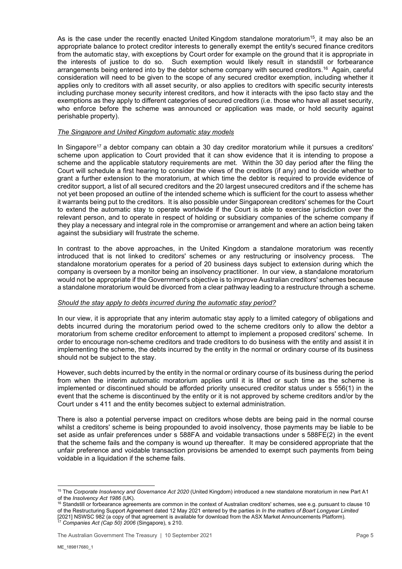As is the case under the recently enacted United Kingdom standalone moratorium<sup>15</sup>, it may also be an appropriate balance to protect creditor interests to generally exempt the entity's secured finance creditors from the automatic stay, with exceptions by Court order for example on the ground that it is appropriate in the interests of justice to do so. Such exemption would likely result in standstill or forbearance arrangements being entered into by the debtor scheme company with secured creditors.16 Again, careful consideration will need to be given to the scope of any secured creditor exemption, including whether it applies only to creditors with all asset security, or also applies to creditors with specific security interests including purchase money security interest creditors, and how it interacts with the ipso facto stay and the exemptions as they apply to different categories of secured creditors (i.e. those who have all asset security, who enforce before the scheme was announced or application was made, or hold security against perishable property).

## *The Singapore and United Kingdom automatic stay models*

In Singapore<sup>17</sup> a debtor company can obtain a 30 day creditor moratorium while it pursues a creditors' scheme upon application to Court provided that it can show evidence that it is intending to propose a scheme and the applicable statutory requirements are met. Within the 30 day period after the filing the Court will schedule a first hearing to consider the views of the creditors (if any) and to decide whether to grant a further extension to the moratorium, at which time the debtor is required to provide evidence of creditor support, a list of all secured creditors and the 20 largest unsecured creditors and if the scheme has not yet been proposed an outline of the intended scheme which is sufficient for the court to assess whether it warrants being put to the creditors. It is also possible under Singaporean creditors' schemes for the Court to extend the automatic stay to operate worldwide if the Court is able to exercise jurisdiction over the relevant person, and to operate in respect of holding or subsidiary companies of the scheme company if they play a necessary and integral role in the compromise or arrangement and where an action being taken against the subsidiary will frustrate the scheme.

In contrast to the above approaches, in the United Kingdom a standalone moratorium was recently introduced that is not linked to creditors' schemes or any restructuring or insolvency process. The standalone moratorium operates for a period of 20 business days subject to extension during which the company is overseen by a monitor being an insolvency practitioner. In our view, a standalone moratorium would not be appropriate if the Government's objective is to improve Australian creditors' schemes because a standalone moratorium would be divorced from a clear pathway leading to a restructure through a scheme.

#### *Should the stay apply to debts incurred during the automatic stay period?*

In our view, it is appropriate that any interim automatic stay apply to a limited category of obligations and debts incurred during the moratorium period owed to the scheme creditors only to allow the debtor a moratorium from scheme creditor enforcement to attempt to implement a proposed creditors' scheme. In order to encourage non-scheme creditors and trade creditors to do business with the entity and assist it in implementing the scheme, the debts incurred by the entity in the normal or ordinary course of its business should not be subject to the stay.

However, such debts incurred by the entity in the normal or ordinary course of its business during the period from when the interim automatic moratorium applies until it is lifted or such time as the scheme is implemented or discontinued should be afforded priority unsecured creditor status under s 556(1) in the event that the scheme is discontinued by the entity or it is not approved by scheme creditors and/or by the Court under s 411 and the entity becomes subject to external administration.

There is also a potential perverse impact on creditors whose debts are being paid in the normal course whilst a creditors' scheme is being propounded to avoid insolvency, those payments may be liable to be set aside as unfair preferences under s 588FA and voidable transactions under s 588FE(2) in the event that the scheme fails and the company is wound up thereafter. It may be considered appropriate that the unfair preference and voidable transaction provisions be amended to exempt such payments from being voidable in a liquidation if the scheme fails.

<sup>15</sup> The *Corporate Insolvency and Governance Act 2020* (United Kingdom) introduced a new standalone moratorium in new Part A1 of the *Insolvency Act 1986* (UK).<br><sup>16</sup> Standstill or forbearance agreements are common in the context of Australian creditors' schemes, see e.g. pursuant to clause 10

of the Restructuring Support Agreement dated 12 May 2021 entered by the parties in *In the matters of Boart Longyear Limited* [2021] NSWSC 982 (a copy of that agreement is available for download from the ASX Market Announcements Platform). 17 *Companies Act (Cap 50) 2006* (Singapore), s 210.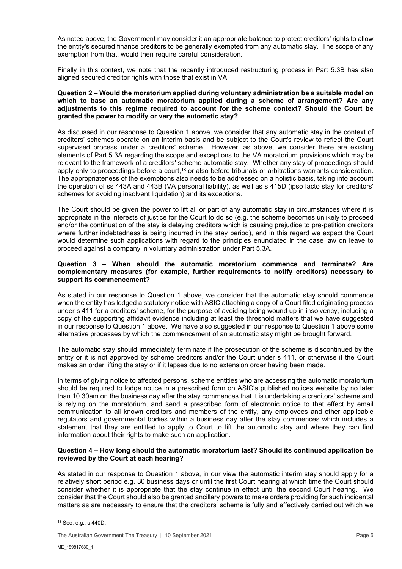As noted above, the Government may consider it an appropriate balance to protect creditors' rights to allow the entity's secured finance creditors to be generally exempted from any automatic stay. The scope of any exemption from that, would then require careful consideration.

Finally in this context, we note that the recently introduced restructuring process in Part 5.3B has also aligned secured creditor rights with those that exist in VA.

#### **Question 2 – Would the moratorium applied during voluntary administration be a suitable model on which to base an automatic moratorium applied during a scheme of arrangement? Are any adjustments to this regime required to account for the scheme context? Should the Court be granted the power to modify or vary the automatic stay?**

As discussed in our response to Question 1 above, we consider that any automatic stay in the context of creditors' schemes operate on an interim basis and be subject to the Court's review to reflect the Court supervised process under a creditors' scheme. However, as above, we consider there are existing elements of Part 5.3A regarding the scope and exceptions to the VA moratorium provisions which may be relevant to the framework of a creditors' scheme automatic stay. Whether any stay of proceedings should apply only to proceedings before a court,<sup>18</sup> or also before tribunals or arbitrations warrants consideration. The appropriateness of the exemptions also needs to be addressed on a holistic basis, taking into account the operation of ss 443A and 443B (VA personal liability), as well as s 415D (ipso facto stay for creditors' schemes for avoiding insolvent liquidation) and its exceptions.

The Court should be given the power to lift all or part of any automatic stay in circumstances where it is appropriate in the interests of justice for the Court to do so (e.g. the scheme becomes unlikely to proceed and/or the continuation of the stay is delaying creditors which is causing prejudice to pre-petition creditors where further indebtedness is being incurred in the stay period), and in this regard we expect the Court would determine such applications with regard to the principles enunciated in the case law on leave to proceed against a company in voluntary administration under Part 5.3A.

#### **Question 3 – When should the automatic moratorium commence and terminate? Are complementary measures (for example, further requirements to notify creditors) necessary to support its commencement?**

As stated in our response to Question 1 above, we consider that the automatic stay should commence when the entity has lodged a statutory notice with ASIC attaching a copy of a Court filed originating process under s 411 for a creditors' scheme, for the purpose of avoiding being wound up in insolvency, including a copy of the supporting affidavit evidence including at least the threshold matters that we have suggested in our response to Question 1 above. We have also suggested in our response to Question 1 above some alternative processes by which the commencement of an automatic stay might be brought forward.

The automatic stay should immediately terminate if the prosecution of the scheme is discontinued by the entity or it is not approved by scheme creditors and/or the Court under s 411, or otherwise if the Court makes an order lifting the stay or if it lapses due to no extension order having been made.

In terms of giving notice to affected persons, scheme entities who are accessing the automatic moratorium should be required to lodge notice in a prescribed form on ASIC's published notices website by no later than 10.30am on the business day after the stay commences that it is undertaking a creditors' scheme and is relying on the moratorium, and send a prescribed form of electronic notice to that effect by email communication to all known creditors and members of the entity, any employees and other applicable regulators and governmental bodies within a business day after the stay commences which includes a statement that they are entitled to apply to Court to lift the automatic stay and where they can find information about their rights to make such an application.

## **Question 4 – How long should the automatic moratorium last? Should its continued application be reviewed by the Court at each hearing?**

As stated in our response to Question 1 above, in our view the automatic interim stay should apply for a relatively short period e.g. 30 business days or until the first Court hearing at which time the Court should consider whether it is appropriate that the stay continue in effect until the second Court hearing. We consider that the Court should also be granted ancillary powers to make orders providing for such incidental matters as are necessary to ensure that the creditors' scheme is fully and effectively carried out which we

The Australian Government The Treasury | 10 September 2021 **Page 6 Page 6** 

<sup>18</sup> See, e.g., s 440D.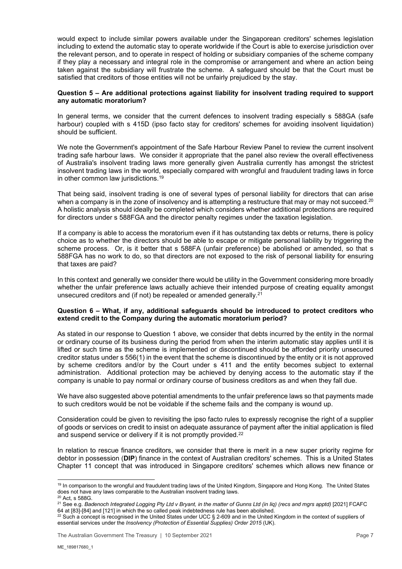would expect to include similar powers available under the Singaporean creditors' schemes legislation including to extend the automatic stay to operate worldwide if the Court is able to exercise jurisdiction over the relevant person, and to operate in respect of holding or subsidiary companies of the scheme company if they play a necessary and integral role in the compromise or arrangement and where an action being taken against the subsidiary will frustrate the scheme. A safeguard should be that the Court must be satisfied that creditors of those entities will not be unfairly prejudiced by the stay.

#### **Question 5 – Are additional protections against liability for insolvent trading required to support any automatic moratorium?**

In general terms, we consider that the current defences to insolvent trading especially s 588GA (safe harbour) coupled with s 415D (ipso facto stay for creditors' schemes for avoiding insolvent liquidation) should be sufficient.

We note the Government's appointment of the Safe Harbour Review Panel to review the current insolvent trading safe harbour laws. We consider it appropriate that the panel also review the overall effectiveness of Australia's insolvent trading laws more generally given Australia currently has amongst the strictest insolvent trading laws in the world, especially compared with wrongful and fraudulent trading laws in force in other common law jurisdictions.<sup>19</sup>

That being said, insolvent trading is one of several types of personal liability for directors that can arise when a company is in the zone of insolvency and is attempting a restructure that may or may not succeed.<sup>20</sup> A holistic analysis should ideally be completed which considers whether additional protections are required for directors under s 588FGA and the director penalty regimes under the taxation legislation.

If a company is able to access the moratorium even if it has outstanding tax debts or returns, there is policy choice as to whether the directors should be able to escape or mitigate personal liability by triggering the scheme process. Or, is it better that s 588FA (unfair preference) be abolished or amended, so that s 588FGA has no work to do, so that directors are not exposed to the risk of personal liability for ensuring that taxes are paid?

In this context and generally we consider there would be utility in the Government considering more broadly whether the unfair preference laws actually achieve their intended purpose of creating equality amongst unsecured creditors and (if not) be repealed or amended generally.<sup>21</sup>

## **Question 6 – What, if any, additional safeguards should be introduced to protect creditors who extend credit to the Company during the automatic moratorium period?**

As stated in our response to Question 1 above, we consider that debts incurred by the entity in the normal or ordinary course of its business during the period from when the interim automatic stay applies until it is lifted or such time as the scheme is implemented or discontinued should be afforded priority unsecured creditor status under s 556(1) in the event that the scheme is discontinued by the entity or it is not approved by scheme creditors and/or by the Court under s 411 and the entity becomes subject to external administration. Additional protection may be achieved by denying access to the automatic stay if the company is unable to pay normal or ordinary course of business creditors as and when they fall due.

We have also suggested above potential amendments to the unfair preference laws so that payments made to such creditors would be not be voidable if the scheme fails and the company is wound up.

Consideration could be given to revisiting the ipso facto rules to expressly recognise the right of a supplier of goods or services on credit to insist on adequate assurance of payment after the initial application is filed and suspend service or delivery if it is not promptly provided.<sup>22</sup>

In relation to rescue finance creditors, we consider that there is merit in a new super priority regime for debtor in possession (**DIP**) finance in the context of Australian creditors' schemes. This is a United States Chapter 11 concept that was introduced in Singapore creditors' schemes which allows new finance or

<sup>&</sup>lt;sup>19</sup> In comparison to the wrongful and fraudulent trading laws of the United Kingdom, Singapore and Hong Kong. The United States does not have any laws comparable to the Australian insolvent trading laws.<br><sup>20</sup> Act, s 588G.

<sup>21</sup> See e.g. *Badenoch Integrated Logging Pty Ltd v Bryant, in the matter of Gunns Ltd (in liq) (recs and mgrs apptd)* [2021] FCAFC

 $^{22}$  Such a concept is recognised in the United States under UCC § 2-609 and in the United Kingdom in the context of suppliers of essential services under the *Insolvency (Protection of Essential Supplies) Order 2015* (UK).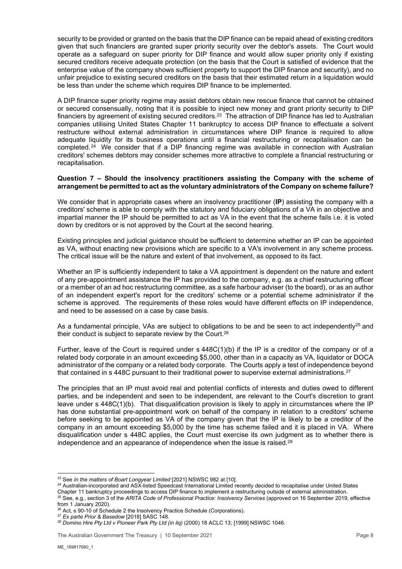security to be provided or granted on the basis that the DIP finance can be repaid ahead of existing creditors given that such financiers are granted super priority security over the debtor's assets. The Court would operate as a safeguard on super priority for DIP finance and would allow super priority only if existing secured creditors receive adequate protection (on the basis that the Court is satisfied of evidence that the enterprise value of the company shows sufficient property to support the DIP finance and security), and no unfair prejudice to existing secured creditors on the basis that their estimated return in a liquidation would be less than under the scheme which requires DIP finance to be implemented.

A DIP finance super priority regime may assist debtors obtain new rescue finance that cannot be obtained or secured consensually, noting that it is possible to inject new money and grant priority security to DIP financiers by agreement of existing secured creditors.23 The attraction of DIP finance has led to Australian companies utilising United States Chapter 11 bankruptcy to access DIP finance to effectuate a solvent restructure without external administration in circumstances where DIP finance is required to allow adequate liquidity for its business operations until a financial restructuring or recapitalisation can be completed.<sup>24</sup> We consider that if a DIP financing regime was available in connection with Australian creditors' schemes debtors may consider schemes more attractive to complete a financial restructuring or recapitalisation.

### **Question 7 – Should the insolvency practitioners assisting the Company with the scheme of arrangement be permitted to act as the voluntary administrators of the Company on scheme failure?**

We consider that in appropriate cases where an insolvency practitioner (**IP**) assisting the company with a creditors' scheme is able to comply with the statutory and fiduciary obligations of a VA in an objective and impartial manner the IP should be permitted to act as VA in the event that the scheme fails i.e. it is voted down by creditors or is not approved by the Court at the second hearing.

Existing principles and judicial guidance should be sufficient to determine whether an IP can be appointed as VA, without enacting new provisions which are specific to a VA's involvement in any scheme process. The critical issue will be the nature and extent of that involvement, as opposed to its fact.

Whether an IP is sufficiently independent to take a VA appointment is dependent on the nature and extent of any pre-appointment assistance the IP has provided to the company, e.g. as a chief restructuring officer or a member of an ad hoc restructuring committee, as a safe harbour adviser (to the board), or as an author of an independent expert's report for the creditors' scheme or a potential scheme administrator if the scheme is approved. The requirements of these roles would have different effects on IP independence, and need to be assessed on a case by case basis.

As a fundamental principle, VAs are subject to obligations to be and be seen to act independently<sup>25</sup> and their conduct is subject to separate review by the Court.26

Further, leave of the Court is required under s 448C(1)(b) if the IP is a creditor of the company or of a related body corporate in an amount exceeding \$5,000, other than in a capacity as VA, liquidator or DOCA administrator of the company or a related body corporate. The Courts apply a test of independence beyond that contained in s 448C pursuant to their traditional power to supervise external administrations.<sup>27</sup>

The principles that an IP must avoid real and potential conflicts of interests and duties owed to different parties, and be independent and seen to be independent, are relevant to the Court's discretion to grant leave under s 448C(1)(b). That disqualification provision is likely to apply in circumstances where the IP has done substantial pre-appointment work on behalf of the company in relation to a creditors' scheme before seeking to be appointed as VA of the company given that the IP is likely to be a creditor of the company in an amount exceeding \$5,000 by the time has scheme failed and it is placed in VA. Where disqualification under s 448C applies, the Court must exercise its own judgment as to whether there is independence and an appearance of independence when the issue is raised.<sup>28</sup>

<sup>23</sup> See *In the matters of Boart Longyear Limited* [2021] NSWSC 982 at [10].<br><sup>24</sup> Australian-incorporated and ASX-listed Speedcast International Limited recently decided to recapitalise under United States<br>Chapter 11 bank

<sup>25</sup> See, e.g., section 3 of the ARITA Code of Professional Practice: Insolvency Services (approved on 16 September 2019, effective from 1 January 2020).<br><sup>26</sup> Act. s 90-10 of Schedule 2 the Insolvency Practice Schedule (Corporations).

<sup>&</sup>lt;sup>27</sup> Ex parte Prior & Basedow [2018] SASC 148.<br><sup>28</sup> Domino Hire Pty Ltd v Pioneer Park Pty Ltd (in lig) (2000) 18 ACLC 13: [1999] NSWSC 1046.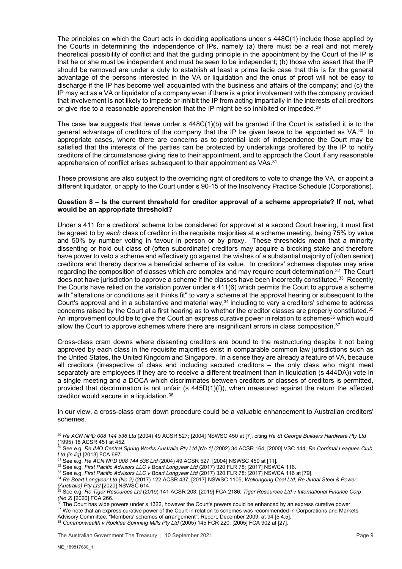The principles on which the Court acts in deciding applications under s 448C(1) include those applied by the Courts in determining the independence of IPs, namely (a) there must be a real and not merely theoretical possibility of conflict and that the guiding principle in the appointment by the Court of the IP is that he or she must be independent and must be seen to be independent; (b) those who assert that the IP should be removed are under a duty to establish at least a prima facie case that this is for the general advantage of the persons interested in the VA or liquidation and the onus of proof will not be easy to discharge if the IP has become well acquainted with the business and affairs of the company; and (c) the IP may act as a VA or liquidator of a company even if there is a prior involvement with the company provided that involvement is not likely to impede or inhibit the IP from acting impartially in the interests of all creditors or give rise to a reasonable apprehension that the IP might be so inhibited or impeded.<sup>29</sup>

The case law suggests that leave under  $s$  448C(1)(b) will be granted if the Court is satisfied it is to the general advantage of creditors of the company that the IP be given leave to be appointed as VA.<sup>30</sup> In appropriate cases, where there are concerns as to potential lack of independence the Court may be satisfied that the interests of the parties can be protected by undertakings proffered by the IP to notify creditors of the circumstances giving rise to their appointment, and to approach the Court if any reasonable apprehension of conflict arises subsequent to their appointment as VAs.<sup>31</sup>

These provisions are also subject to the overriding right of creditors to vote to change the VA, or appoint a different liquidator, or apply to the Court under s 90-15 of the Insolvency Practice Schedule (Corporations).

#### **Question 8 – Is the current threshold for creditor approval of a scheme appropriate? If not, what would be an appropriate threshold?**

Under s 411 for a creditors' scheme to be considered for approval at a second Court hearing, it must first be agreed to by *each* class of creditor in the requisite majorities at a scheme meeting, being 75% by value and 50% by number voting in favour in person or by proxy. These thresholds mean that a minority dissenting or hold out class of (often subordinate) creditors may acquire a blocking stake and therefore have power to veto a scheme and effectively go against the wishes of a substantial majority of (often senior) creditors and thereby deprive a beneficial scheme of its value. In creditors' schemes disputes may arise regarding the composition of classes which are complex and may require court determination.<sup>32</sup> The Court does not have jurisdiction to approve a scheme if the classes have been incorrectly constituted.<sup>33</sup> Recently the Courts have relied on the variation power under s 411(6) which permits the Court to approve a scheme with "alterations or conditions as it thinks fit" to vary a scheme at the approval hearing or subsequent to the Court's approval and in a substantive and material way,<sup>34</sup> including to vary a creditors' scheme to address concerns raised by the Court at a first hearing as to whether the creditor classes are properly constituted.35 An improvement could be to give the Court an express curative power in relation to schemes<sup>36</sup> which would allow the Court to approve schemes where there are insignificant errors in class composition.37

Cross-class cram downs where dissenting creditors are bound to the restructuring despite it not being approved by each class in the requisite majorities exist in comparable common law jurisdictions such as the United States, the United Kingdom and Singapore. In a sense they are already a feature of VA, because all creditors (irrespective of class and including secured creditors – the only class who might meet separately are employees if they are to receive a different treatment than in liquidation (s 444DA)) vote in a single meeting and a DOCA which discriminates between creditors or classes of creditors is permitted, provided that discrimination is not unfair (s 445D(1)(f)), when measured against the return the affected creditor would secure in a liquidation.38

In our view, a cross-class cram down procedure could be a valuable enhancement to Australian creditors' schemes.

<sup>29</sup> *Re ACN NPD 008 144 536 Ltd* (2004) 49 ACSR 527; [2004] NSWSC 450 at [7], citing *Re St George Builders Hardware Pty Ltd* (1995) 18 ACSR 451 at 452.

<sup>&</sup>lt;sup>30</sup> See e.g. *Re IMO Central Spring Works Australia Pty Ltd [No 1] (2002) 34 ACSR 164; [2000] VSC 144; <i>Re Corrimal Leagues Club*<br>*Ltd (in liq)* [2013] FCA 697.<br><sup>31</sup> See e.g. *Re ACN NPD 008 144 536 Ltd (2004) 4*9 ACSR 52

<sup>&</sup>lt;sup>32</sup> See e.g. First Pacific Advisors LLC v Boart Longyear Ltd (2017) 320 FLR 78; [2017] NSWCA 116.<br><sup>33</sup> See e.g. First Pacific Advisors LLC v Boart Longyear Ltd (2017) 320 FLR 78; [2017] NSWCA 116 at [79].<br><sup>34</sup> Re Boart Lo

<sup>&</sup>lt;sup>35</sup> See e.g. *Re Tiger Resources Ltd* (2019) 141 ACSR 203; [2019] FCA 2186; *Tiger Resources Ltd v International Finance Corp (No 2)* [2020] FCA 266.

 $^{36}$  The Court has wide powers under s 1322, however the Court's powers could be enhanced by an express curative power.<br><sup>37</sup> We note that an express curative power of the Court in relation to schemes was recommended in

Advisory Committee, "Members' schemes of arrangement", Report, December 2009, at 94 [5.4.5]. 38 *Commonwealth v Rocklea Spinning Mills Pty Ltd* (2005) 145 FCR 220; [2005] FCA 902 at [27].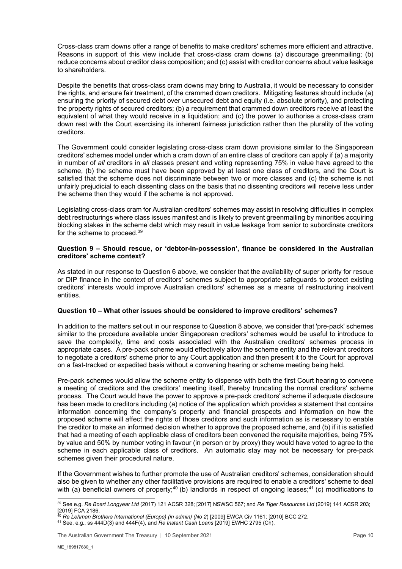Cross-class cram downs offer a range of benefits to make creditors' schemes more efficient and attractive. Reasons in support of this view include that cross-class cram downs (a) discourage greenmailing; (b) reduce concerns about creditor class composition; and (c) assist with creditor concerns about value leakage to shareholders.

Despite the benefits that cross-class cram downs may bring to Australia, it would be necessary to consider the rights, and ensure fair treatment, of the crammed down creditors. Mitigating features should include (a) ensuring the priority of secured debt over unsecured debt and equity (i.e. absolute priority), and protecting the property rights of secured creditors; (b) a requirement that crammed down creditors receive at least the equivalent of what they would receive in a liquidation; and (c) the power to authorise a cross-class cram down rest with the Court exercising its inherent fairness jurisdiction rather than the plurality of the voting creditors.

The Government could consider legislating cross-class cram down provisions similar to the Singaporean creditors' schemes model under which a cram down of an entire class of creditors can apply if (a) a majority in number of *all* creditors in *all* classes present and voting representing 75% in value have agreed to the scheme, (b) the scheme must have been approved by at least one class of creditors, and the Court is satisfied that the scheme does not discriminate between two or more classes and (c) the scheme is not unfairly prejudicial to each dissenting class on the basis that no dissenting creditors will receive less under the scheme then they would if the scheme is not approved.

Legislating cross-class cram for Australian creditors' schemes may assist in resolving difficulties in complex debt restructurings where class issues manifest and is likely to prevent greenmailing by minorities acquiring blocking stakes in the scheme debt which may result in value leakage from senior to subordinate creditors for the scheme to proceed.<sup>39</sup>

### **Question 9 – Should rescue, or 'debtor-in-possession', finance be considered in the Australian creditors' scheme context?**

As stated in our response to Question 6 above, we consider that the availability of super priority for rescue or DIP finance in the context of creditors' schemes subject to appropriate safeguards to protect existing creditors' interests would improve Australian creditors' schemes as a means of restructuring insolvent entities.

## **Question 10 – What other issues should be considered to improve creditors' schemes?**

In addition to the matters set out in our response to Question 8 above, we consider that 'pre-pack' schemes similar to the procedure available under Singaporean creditors' schemes would be useful to introduce to save the complexity, time and costs associated with the Australian creditors' schemes process in appropriate cases. A pre-pack scheme would effectively allow the scheme entity and the relevant creditors to negotiate a creditors' scheme prior to any Court application and then present it to the Court for approval on a fast-tracked or expedited basis without a convening hearing or scheme meeting being held.

Pre-pack schemes would allow the scheme entity to dispense with both the first Court hearing to convene a meeting of creditors and the creditors' meeting itself, thereby truncating the normal creditors' scheme process. The Court would have the power to approve a pre-pack creditors' scheme if adequate disclosure has been made to creditors including (a) notice of the application which provides a statement that contains information concerning the company's property and financial prospects and information on how the proposed scheme will affect the rights of those creditors and such information as is necessary to enable the creditor to make an informed decision whether to approve the proposed scheme, and (b) if it is satisfied that had a meeting of each applicable class of creditors been convened the requisite majorities, being 75% by value and 50% by number voting in favour (in person or by proxy) they would have voted to agree to the scheme in each applicable class of creditors. An automatic stay may not be necessary for pre-pack schemes given their procedural nature.

If the Government wishes to further promote the use of Australian creditors' schemes, consideration should also be given to whether any other facilitative provisions are required to enable a creditors' scheme to deal with (a) beneficial owners of property;<sup>40</sup> (b) landlords in respect of ongoing leases;<sup>41</sup> (c) modifications to

<sup>39</sup> See e.g. *Re Boart Longyear Ltd* (2017) 121 ACSR 328; [2017] NSWSC 567; and *Re Tiger Resources Ltd* (2019) 141 ACSR 203; [2019] FCA 2186.<br><sup>40</sup> Re Lehman Brothers International (Europe) (in admin) (No 2) [2009] EWCA Civ 1161; [2010] BCC 272.

<sup>40</sup> *Re Lehman Brothers International (Europe) (in admin) (No 2*) [2009] EWCA Civ 1161; [2010] BCC 272. 41 See, e.g., ss 444D(3) and 444F(4), and *Re Instant Cash Loans* [2019] EWHC 2795 (Ch).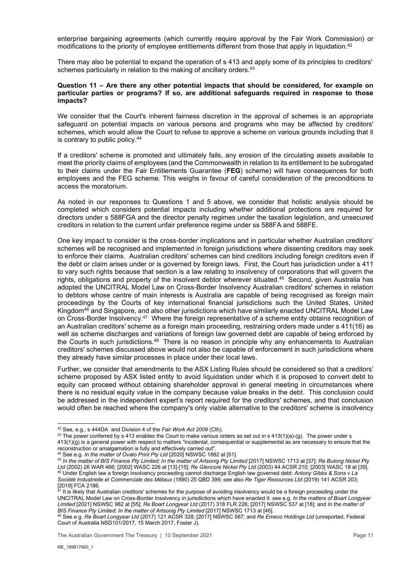enterprise bargaining agreements (which currently require approval by the Fair Work Commission) or modifications to the priority of employee entitlements different from those that apply in liquidation.<sup>42</sup>

There may also be potential to expand the operation of s 413 and apply some of its principles to creditors' schemes particularly in relation to the making of ancillary orders.<sup>43</sup>

#### **Question 11 – Are there any other potential impacts that should be considered, for example on particular parties or programs? If so, are additional safeguards required in response to those impacts?**

We consider that the Court's inherent fairness discretion in the approval of schemes is an appropriate safeguard on potential impacts on various persons and programs who may be affected by creditors' schemes, which would allow the Court to refuse to approve a scheme on various grounds including that it is contrary to public policy.44

If a creditors' scheme is promoted and ultimately fails, any erosion of the circulating assets available to meet the priority claims of employees (and the Commonwealth in relation to its entitlement to be subrogated to their claims under the Fair Entitlements Guarantee (**FEG**) scheme) will have consequences for both employees and the FEG scheme. This weighs in favour of careful consideration of the preconditions to access the moratorium.

As noted in our responses to Questions 1 and 5 above, we consider that holistic analysis should be completed which considers potential impacts including whether additional protections are required for directors under s 588FGA and the director penalty regimes under the taxation legislation, and unsecured creditors in relation to the current unfair preference regime under ss 588FA and 588FE.

One key impact to consider is the cross-border implications and in particular whether Australian creditors' schemes will be recognised and implemented in foreign jurisdictions where dissenting creditors may seek to enforce their claims. Australian creditors' schemes can bind creditors including foreign creditors even if the debt or claim arises under or is governed by foreign laws. First, the Court has jurisdiction under s 411 to vary such rights because that section is a law relating to insolvency of corporations that will govern the rights, obligations and property of the insolvent debtor wherever situated.<sup>45</sup> Second, given Australia has adopted the UNCITRAL Model Law on Cross-Border Insolvency Australian creditors' schemes in relation to debtors whose centre of main interests is Australia are capable of being recognised as foreign main proceedings by the Courts of key international financial jurisdictions such the United States, United Kingdom46 and Singapore, and also other jurisdictions which have similarly enacted UNCITRAL Model Law on Cross-Border Insolvency.47 Where the foreign representative of a scheme entity obtains recognition of an Australian creditors' scheme as a foreign main proceeding, restraining orders made under s 411(16) as well as scheme discharges and variations of foreign law governed debt are capable of being enforced by the Courts in such jurisdictions.48 There is no reason in principle why any enhancements to Australian creditors' schemes discussed above would not also be capable of enforcement in such jurisdictions where they already have similar processes in place under their local laws.

Further, we consider that amendments to the ASX Listing Rules should be considered so that a creditors' scheme proposed by ASX listed entity to avoid liquidation under which it is proposed to convert debt to equity can proceed without obtaining shareholder approval in general meeting in circumstances where there is no residual equity value in the company because value breaks in the debt. This conclusion could be addressed in the independent expert's report required for the creditors' schemes, and that conclusion would often be reached where the company's only viable alternative to the creditors' scheme is insolvency

<sup>&</sup>lt;sup>42</sup> See, e.g., s 444DA and Division 4 of the *Fair Work Act 2009* (Cth).<br><sup>43</sup> The power conferred by s 413 enables the Court to make various orders as set out in s 413(1)(a)-(g). The power under s  $413(1)(g)$  is a general power with respect to matters "incidental, consequential or supplemental as are necessary to ensure that the

reconstruction or amalgamation is fully and effectively carried out".<br><sup>44</sup> See e.g. In the matter of Ovato Print Pty Ltd [2020] NSWSC 1882 at [51].<br><sup>45</sup> In the matter of BIS Finance Pty Limited; In the matter of Artsonig P Under English law a foreign insolvency proceeding cannot discharge English law governed debt: Antony Gibbs & Sons v La *Société Industrielle et Commerciale des Métaux* (1890) 25 QBD 399; see also *Re Tiger Resources Ltd (*2019) 141 ACSR 203; [2019] FCA 2186.

<sup>47</sup> It is likely that Australian creditors' schemes for the purpose of avoiding insolvency would be a foreign proceeding under the UNCITRAL Model Law on Cross-Border Insolvency in jurisdictions which have enacted it: see e.g. *In the matters of Boart Longyear Limited* [2021] NSWSC 982 at [55]; *Re Boart Longyear Ltd* (2017) 318 FLR 226; [2017] NSWSC 537 at [18]; and *In the matter of* 

<sup>&</sup>lt;sup>48</sup> See e.g. Re Boart Longyear Ltd (2017) 121 ACSR 328; [2017] NSWSC 567; and Re Emeco Holdings Ltd (unreported, Federal Court of Australia NSD101/2017, 15 March 2017, Foster J).